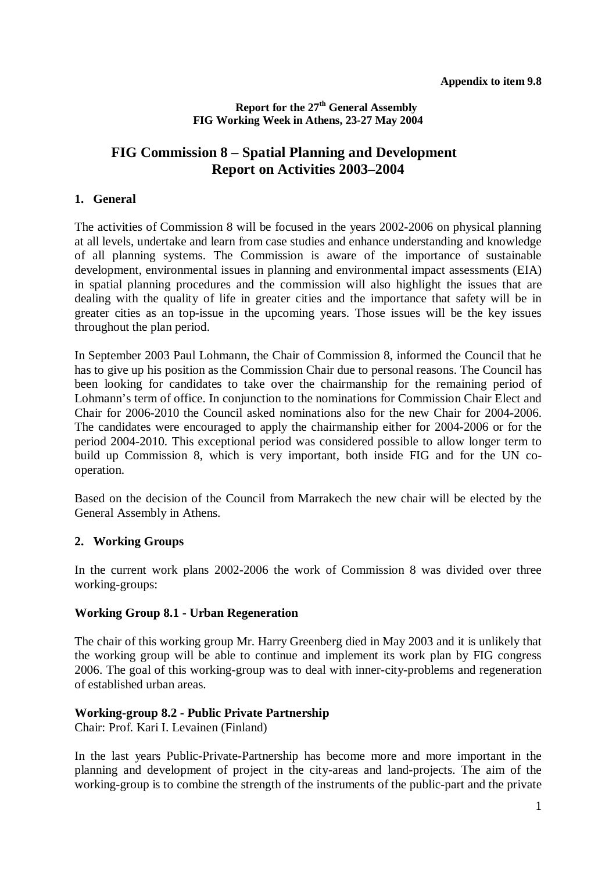#### **Report for the 27th General Assembly FIG Working Week in Athens, 23-27 May 2004**

## **FIG Commission 8 – Spatial Planning and Development Report on Activities 2003–2004**

#### **1. General**

The activities of Commission 8 will be focused in the years 2002-2006 on physical planning at all levels, undertake and learn from case studies and enhance understanding and knowledge of all planning systems. The Commission is aware of the importance of sustainable development, environmental issues in planning and environmental impact assessments (EIA) in spatial planning procedures and the commission will also highlight the issues that are dealing with the quality of life in greater cities and the importance that safety will be in greater cities as an top-issue in the upcoming years. Those issues will be the key issues throughout the plan period.

In September 2003 Paul Lohmann, the Chair of Commission 8, informed the Council that he has to give up his position as the Commission Chair due to personal reasons. The Council has been looking for candidates to take over the chairmanship for the remaining period of Lohmann's term of office. In conjunction to the nominations for Commission Chair Elect and Chair for 2006-2010 the Council asked nominations also for the new Chair for 2004-2006. The candidates were encouraged to apply the chairmanship either for 2004-2006 or for the period 2004-2010. This exceptional period was considered possible to allow longer term to build up Commission 8, which is very important, both inside FIG and for the UN cooperation.

Based on the decision of the Council from Marrakech the new chair will be elected by the General Assembly in Athens.

### **2. Working Groups**

In the current work plans 2002-2006 the work of Commission 8 was divided over three working-groups:

#### **Working Group 8.1 - Urban Regeneration**

The chair of this working group Mr. Harry Greenberg died in May 2003 and it is unlikely that the working group will be able to continue and implement its work plan by FIG congress 2006. The goal of this working-group was to deal with inner-city-problems and regeneration of established urban areas.

#### **Working-group 8.2 - Public Private Partnership**

Chair: Prof. Kari I. Levainen (Finland)

In the last years Public-Private-Partnership has become more and more important in the planning and development of project in the city-areas and land-projects. The aim of the working-group is to combine the strength of the instruments of the public-part and the private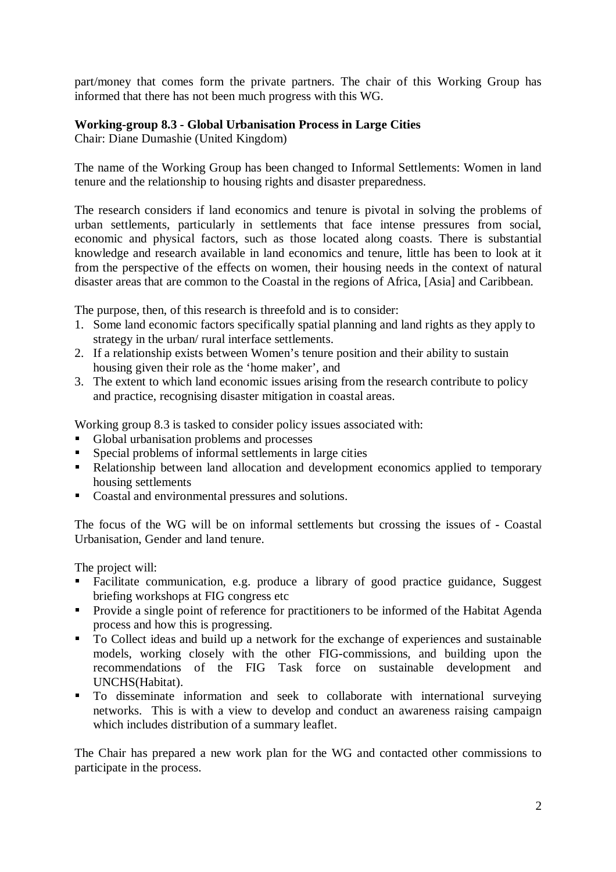part/money that comes form the private partners. The chair of this Working Group has informed that there has not been much progress with this WG.

## **Working-group 8.3 - Global Urbanisation Process in Large Cities**

Chair: Diane Dumashie (United Kingdom)

The name of the Working Group has been changed to Informal Settlements: Women in land tenure and the relationship to housing rights and disaster preparedness.

The research considers if land economics and tenure is pivotal in solving the problems of urban settlements, particularly in settlements that face intense pressures from social, economic and physical factors, such as those located along coasts. There is substantial knowledge and research available in land economics and tenure, little has been to look at it from the perspective of the effects on women, their housing needs in the context of natural disaster areas that are common to the Coastal in the regions of Africa, [Asia] and Caribbean.

The purpose, then, of this research is threefold and is to consider:

- 1. Some land economic factors specifically spatial planning and land rights as they apply to strategy in the urban/ rural interface settlements.
- 2. If a relationship exists between Women's tenure position and their ability to sustain housing given their role as the 'home maker', and
- 3. The extent to which land economic issues arising from the research contribute to policy and practice, recognising disaster mitigation in coastal areas.

Working group 8.3 is tasked to consider policy issues associated with:

- Global urbanisation problems and processes
- **Special problems of informal settlements in large cities**
- Relationship between land allocation and development economics applied to temporary housing settlements
- Coastal and environmental pressures and solutions.

The focus of the WG will be on informal settlements but crossing the issues of - Coastal Urbanisation, Gender and land tenure.

The project will:

- Facilitate communication, e.g. produce a library of good practice guidance, Suggest briefing workshops at FIG congress etc
- **Provide a single point of reference for practitioners to be informed of the Habitat Agenda** process and how this is progressing.
- To Collect ideas and build up a network for the exchange of experiences and sustainable models, working closely with the other FIG-commissions, and building upon the recommendations of the FIG Task force on sustainable development and UNCHS(Habitat).
- To disseminate information and seek to collaborate with international surveying networks. This is with a view to develop and conduct an awareness raising campaign which includes distribution of a summary leaflet.

The Chair has prepared a new work plan for the WG and contacted other commissions to participate in the process.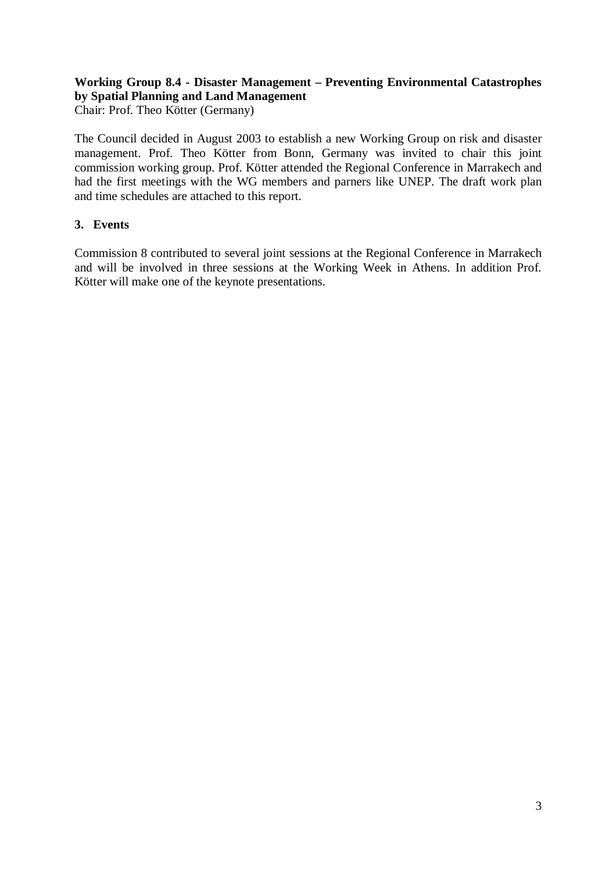## **Working Group 8.4 - Disaster Management – Preventing Environmental Catastrophes by Spatial Planning and Land Management**

Chair: Prof. Theo Kötter (Germany)

The Council decided in August 2003 to establish a new Working Group on risk and disaster management. Prof. Theo Kötter from Bonn, Germany was invited to chair this joint commission working group. Prof. Kötter attended the Regional Conference in Marrakech and had the first meetings with the WG members and parners like UNEP. The draft work plan and time schedules are attached to this report.

## **3. Events**

Commission 8 contributed to several joint sessions at the Regional Conference in Marrakech and will be involved in three sessions at the Working Week in Athens. In addition Prof. Kötter will make one of the keynote presentations.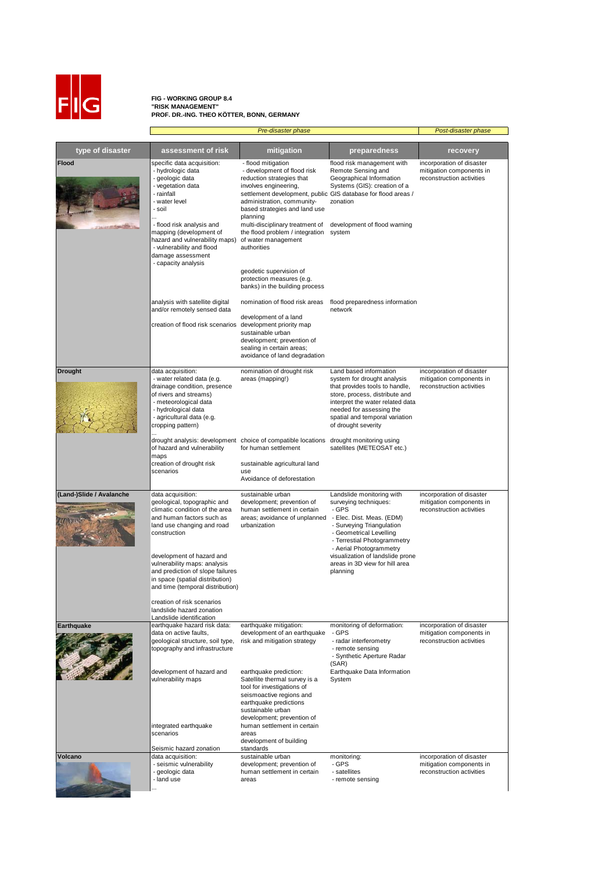

## **FIG - WORKING GROUP 8.4 "RISK MANAGEMENT" PROF. DR.-ING. THEO KÖTTER, BONN, GERMANY**

|                          |                                                                                                                                                                                                                            | Post-disaster phase                                                                                                                                                                                                                                 |                                                                                                                                                                                                                                                    |                                                                                    |
|--------------------------|----------------------------------------------------------------------------------------------------------------------------------------------------------------------------------------------------------------------------|-----------------------------------------------------------------------------------------------------------------------------------------------------------------------------------------------------------------------------------------------------|----------------------------------------------------------------------------------------------------------------------------------------------------------------------------------------------------------------------------------------------------|------------------------------------------------------------------------------------|
|                          |                                                                                                                                                                                                                            |                                                                                                                                                                                                                                                     |                                                                                                                                                                                                                                                    |                                                                                    |
| type of disaster         | assessment of risk                                                                                                                                                                                                         | mitigation                                                                                                                                                                                                                                          | preparedness                                                                                                                                                                                                                                       | recovery                                                                           |
| <b>Flood</b>             | specific data acquisition:<br>- hydrologic data<br>- geologic data<br>- vegetation data<br>- rainfall<br>- water level<br>- soil                                                                                           | - flood mitigation<br>- development of flood risk<br>reduction strategies that<br>involves engineering,<br>settlement development, public GIS database for flood areas /<br>administration, community-<br>based strategies and land use<br>planning | flood risk management with<br>Remote Sensing and<br>Geographical Information<br>Systems (GIS): creation of a<br>zonation                                                                                                                           | incorporation of disaster<br>mitigation components in<br>reconstruction activities |
|                          | - flood risk analysis and<br>mapping (development of<br>hazard and vulnerability maps)<br>- vulnerability and flood<br>damage assessment<br>- capacity analysis                                                            | multi-disciplinary treatment of<br>the flood problem / integration system<br>of water management<br>authorities<br>geodetic supervision of                                                                                                          | development of flood warning                                                                                                                                                                                                                       |                                                                                    |
|                          |                                                                                                                                                                                                                            | protection measures (e.g.<br>banks) in the building process                                                                                                                                                                                         |                                                                                                                                                                                                                                                    |                                                                                    |
|                          | analysis with satellite digital<br>and/or remotely sensed data                                                                                                                                                             | nomination of flood risk areas                                                                                                                                                                                                                      | flood preparedness information<br>network                                                                                                                                                                                                          |                                                                                    |
|                          | creation of flood risk scenarios                                                                                                                                                                                           | development of a land<br>development priority map<br>sustainable urban<br>development; prevention of<br>sealing in certain areas;<br>avoidance of land degradation                                                                                  |                                                                                                                                                                                                                                                    |                                                                                    |
| <b>Drought</b>           | data acquisition:<br>- water related data (e.g.<br>drainage condition, presence<br>of rivers and streams)<br>- meteorological data<br>- hydrological data<br>- agricultural data (e.g.<br>cropping pattern)                | nomination of drought risk<br>areas (mapping!)                                                                                                                                                                                                      | Land based information<br>system for drought analysis<br>that provides tools to handle,<br>store, process, distribute and<br>interpret the water related data<br>needed for assessing the<br>spatial and temporal variation<br>of drought severity | incorporation of disaster<br>mitigation components in<br>reconstruction activities |
|                          | of hazard and vulnerability<br>maps                                                                                                                                                                                        | drought analysis: development choice of compatible locations drought monitoring using<br>for human settlement                                                                                                                                       | satellites (METEOSAT etc.)                                                                                                                                                                                                                         |                                                                                    |
|                          | creation of drought risk                                                                                                                                                                                                   | sustainable agricultural land                                                                                                                                                                                                                       |                                                                                                                                                                                                                                                    |                                                                                    |
|                          | scenarios                                                                                                                                                                                                                  | use<br>Avoidance of deforestation                                                                                                                                                                                                                   |                                                                                                                                                                                                                                                    |                                                                                    |
| (Land-)Slide / Avalanche | data acquisition:<br>geological, topographic and<br>climatic condition of the area<br>and human factors such as<br>land use changing and road<br>construction<br>development of hazard and<br>vulnerability maps: analysis | sustainable urban<br>development; prevention of<br>human settlement in certain<br>areas; avoidance of unplanned - Elec. Dist. Meas. (EDM)<br>urbanization                                                                                           | Landslide monitoring with<br>surveying techniques:<br>- GPS<br>- Surveying Triangulation<br>- Geometrical Levelling<br>- Terrestial Photogrammetry<br>- Aerial Photogrammetry<br>visualization of landslide prone                                  | incorporation of disaster<br>mitigation components in<br>reconstruction activities |
|                          | and prediction of slope failures<br>in space (spatial distribution)<br>and time (temporal distribution)<br>creation of risk scenarios<br>landslide hazard zonation                                                         |                                                                                                                                                                                                                                                     | areas in 3D view for hill area<br>planning                                                                                                                                                                                                         |                                                                                    |
|                          | Landslide identification                                                                                                                                                                                                   |                                                                                                                                                                                                                                                     |                                                                                                                                                                                                                                                    |                                                                                    |
| <b>Earthquake</b>        | earthquake hazard risk data:<br>data on active faults,<br>geological structure, soil type,<br>topography and infrastructure                                                                                                | earthquake mitigation:<br>development of an earthquake<br>risk and mitigation strategy                                                                                                                                                              | monitoring of deformation:<br>- GPS<br>- radar interferometry<br>- remote sensing<br>- Synthetic Aperture Radar<br>(SAR)                                                                                                                           | incorporation of disaster<br>mitigation components in<br>reconstruction activities |
|                          | development of hazard and<br>vulnerability maps<br>integrated earthquake                                                                                                                                                   | earthquake prediction:<br>Satellite thermal survey is a<br>tool for investigations of<br>seismoactive regions and<br>earthquake predictions<br>sustainable urban<br>development; prevention of<br>human settlement in certain                       | Earthquake Data Information<br>System                                                                                                                                                                                                              |                                                                                    |
|                          | scenarios                                                                                                                                                                                                                  | areas<br>development of building                                                                                                                                                                                                                    |                                                                                                                                                                                                                                                    |                                                                                    |
| Volcano                  | Seismic hazard zonation<br>data acquisition:                                                                                                                                                                               | standards<br>sustainable urban                                                                                                                                                                                                                      | monitoring:                                                                                                                                                                                                                                        |                                                                                    |
|                          | - seismic vulnerability<br>- geologic data<br>- land use                                                                                                                                                                   | development; prevention of<br>human settlement in certain<br>areas                                                                                                                                                                                  | - GPS<br>- satellites<br>- remote sensing                                                                                                                                                                                                          | incorporation of disaster<br>mitigation components in<br>reconstruction activities |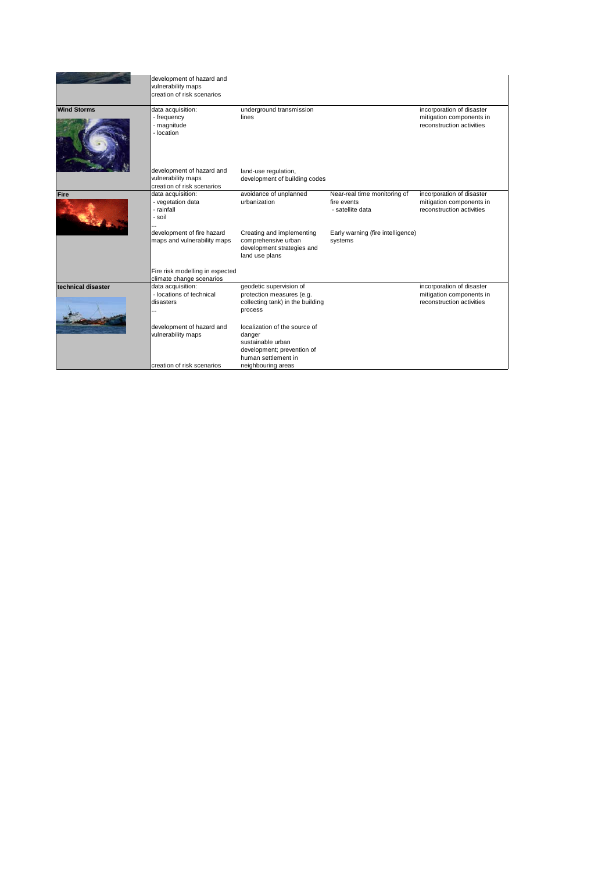|                    | development of hazard and<br>vulnerability maps<br>creation of risk scenarios |                                                                                                                   |                                                                 |                                                                                    |
|--------------------|-------------------------------------------------------------------------------|-------------------------------------------------------------------------------------------------------------------|-----------------------------------------------------------------|------------------------------------------------------------------------------------|
| <b>Wind Storms</b> | data acquisition:<br>- frequency<br>- magnitude<br>- location                 | underground transmission<br>lines                                                                                 |                                                                 | incorporation of disaster<br>mitigation components in<br>reconstruction activities |
|                    | development of hazard and<br>vulnerability maps<br>creation of risk scenarios | land-use regulation,<br>development of building codes                                                             |                                                                 |                                                                                    |
| Fire               | data acquisition:<br>- vegetation data<br>- rainfall<br>- soil                | avoidance of unplanned<br>urbanization                                                                            | Near-real time monitoring of<br>fire events<br>- satellite data | incorporation of disaster<br>mitigation components in<br>reconstruction activities |
|                    | development of fire hazard<br>maps and vulnerability maps                     | Creating and implementing<br>comprehensive urban<br>development strategies and<br>land use plans                  | Early warning (fire intelligence)<br>systems                    |                                                                                    |
|                    | Fire risk modelling in expected<br>climate change scenarios                   |                                                                                                                   |                                                                 |                                                                                    |
| technical disaster | data acquisition:<br>- locations of technical<br>disasters<br>.               | geodetic supervision of<br>protection measures (e.g.<br>collecting tank) in the building<br>process               |                                                                 | incorporation of disaster<br>mitigation components in<br>reconstruction activities |
|                    | development of hazard and<br>vulnerability maps                               | localization of the source of<br>danger<br>sustainable urban<br>development; prevention of<br>human settlement in |                                                                 |                                                                                    |
|                    | creation of risk scenarios                                                    | neighbouring areas                                                                                                |                                                                 |                                                                                    |